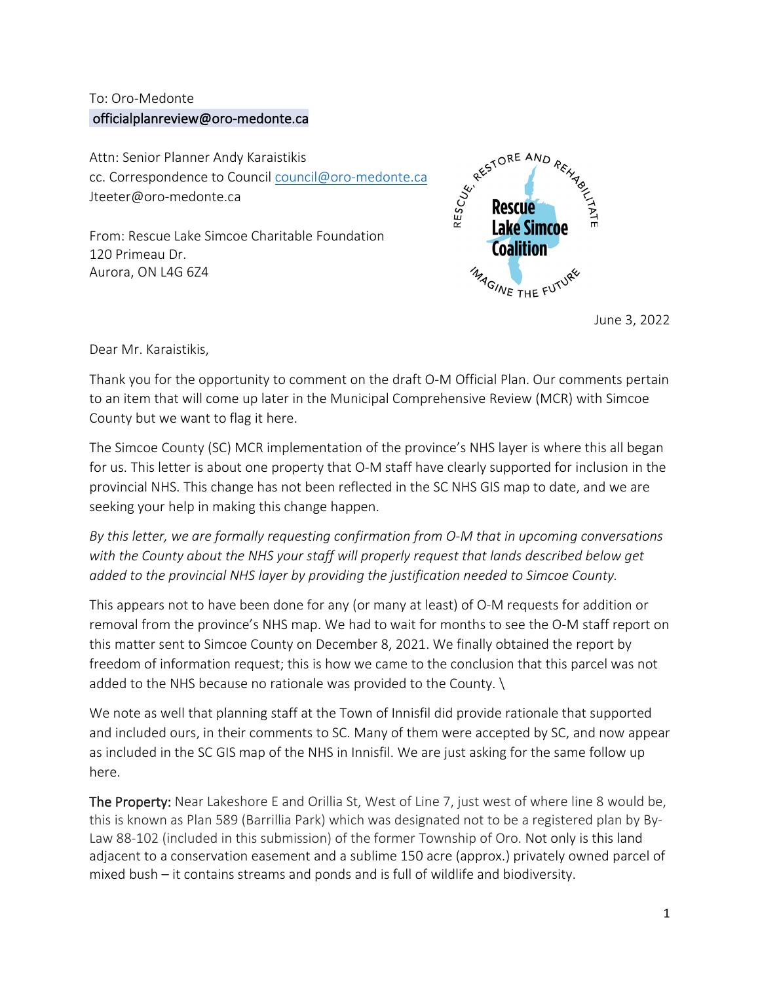## To: Oro-Medonte [officialplanreview@oro-medonte.ca](mailto:officialplanreview@oro-medonte.ca)

Attn: Senior Planner Andy Karaistikis cc. Correspondence to Council [council@oro-medonte.ca](mailto:council@oro-medonte.ca) Jteeter@oro-medonte.ca

From: Rescue Lake Simcoe Charitable Foundation 120 Primeau Dr. Aurora, ON L4G 6Z4



June 3, 2022

Dear Mr. Karaistikis,

Thank you for the opportunity to comment on the draft O-M Official Plan. Our comments pertain to an item that will come up later in the Municipal Comprehensive Review (MCR) with Simcoe County but we want to flag it here.

The Simcoe County (SC) MCR implementation of the province's NHS layer is where this all began for us. This letter is about one property that O-M staff have clearly supported for inclusion in the provincial NHS. This change has not been reflected in the SC NHS GIS map to date, and we are seeking your help in making this change happen.

*By this letter, we are formally requesting confirmation from O-M that in upcoming conversations with the County about the NHS your staff will properly request that lands described below get added to the provincial NHS layer by providing the justification needed to Simcoe County.* 

This appears not to have been done for any (or many at least) of O-M requests for addition or removal from the province's NHS map. We had to wait for months to see the O-M staff report on this matter sent to Simcoe County on December 8, 2021. We finally obtained the report by freedom of information request; this is how we came to the conclusion that this parcel was not added to the NHS because no rationale was provided to the County. \

We note as well that planning staff at the Town of Innisfil did provide rationale that supported and included ours, in their comments to SC. Many of them were accepted by SC, and now appear as included in the SC GIS map of the NHS in Innisfil. We are just asking for the same follow up here.

The Property: Near Lakeshore E and Orillia St, West of Line 7, just west of where line 8 would be, this is known as Plan 589 (Barrillia Park) which was designated not to be a registered plan by By-Law 88-102 (included in this submission) of the former Township of Oro. Not only is this land adjacent to a conservation easement and a sublime 150 acre (approx.) privately owned parcel of mixed bush – it contains streams and ponds and is full of wildlife and biodiversity.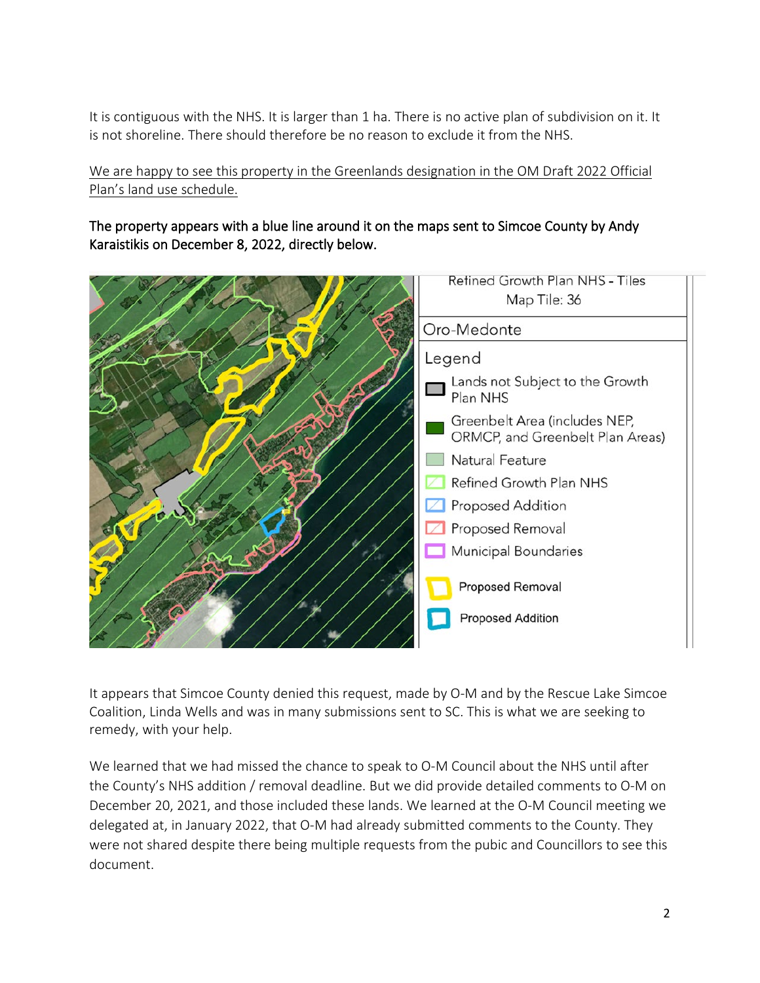It is contiguous with the NHS. It is larger than 1 ha. There is no active plan of subdivision on it. It is not shoreline. There should therefore be no reason to exclude it from the NHS.

We are happy to see this property in the Greenlands designation in the OM Draft 2022 Official Plan's land use schedule.

The property appears with a blue line around it on the maps sent to Simcoe County by Andy Karaistikis on December 8, 2022, directly below.



It appears that Simcoe County denied this request, made by O-M and by the Rescue Lake Simcoe Coalition, Linda Wells and was in many submissions sent to SC. This is what we are seeking to remedy, with your help.

We learned that we had missed the chance to speak to O-M Council about the NHS until after the County's NHS addition / removal deadline. But we did provide detailed comments to O-M on December 20, 2021, and those included these lands. We learned at the O-M Council meeting we delegated at, in January 2022, that O-M had already submitted comments to the County. They were not shared despite there being multiple requests from the pubic and Councillors to see this document.